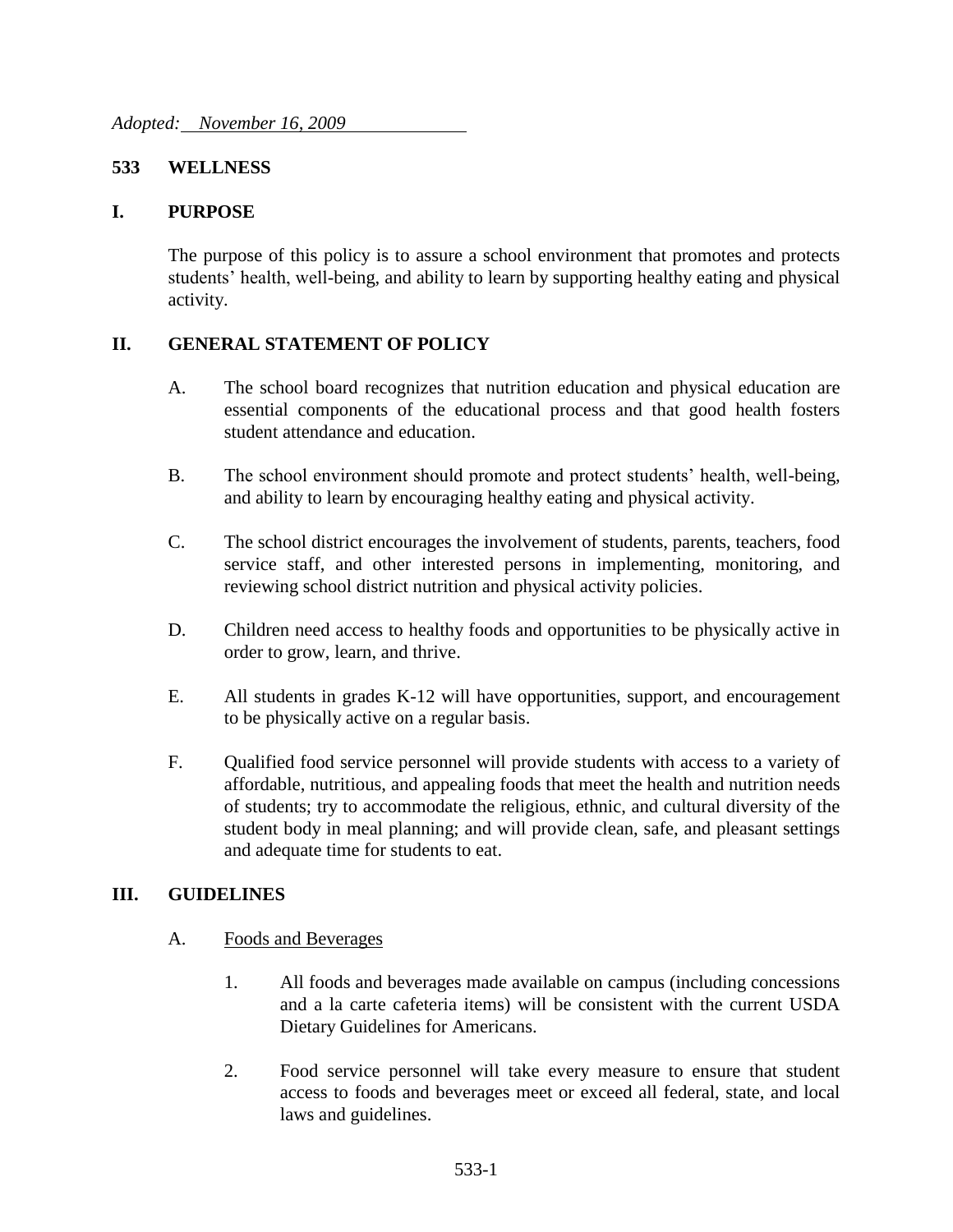#### **533 WELLNESS**

#### **I. PURPOSE**

The purpose of this policy is to assure a school environment that promotes and protects students' health, well-being, and ability to learn by supporting healthy eating and physical activity.

#### **II. GENERAL STATEMENT OF POLICY**

- A. The school board recognizes that nutrition education and physical education are essential components of the educational process and that good health fosters student attendance and education.
- B. The school environment should promote and protect students' health, well-being, and ability to learn by encouraging healthy eating and physical activity.
- C. The school district encourages the involvement of students, parents, teachers, food service staff, and other interested persons in implementing, monitoring, and reviewing school district nutrition and physical activity policies.
- D. Children need access to healthy foods and opportunities to be physically active in order to grow, learn, and thrive.
- E. All students in grades K-12 will have opportunities, support, and encouragement to be physically active on a regular basis.
- F. Qualified food service personnel will provide students with access to a variety of affordable, nutritious, and appealing foods that meet the health and nutrition needs of students; try to accommodate the religious, ethnic, and cultural diversity of the student body in meal planning; and will provide clean, safe, and pleasant settings and adequate time for students to eat.

#### **III. GUIDELINES**

- A. Foods and Beverages
	- 1. All foods and beverages made available on campus (including concessions and a la carte cafeteria items) will be consistent with the current USDA Dietary Guidelines for Americans.
	- 2. Food service personnel will take every measure to ensure that student access to foods and beverages meet or exceed all federal, state, and local laws and guidelines.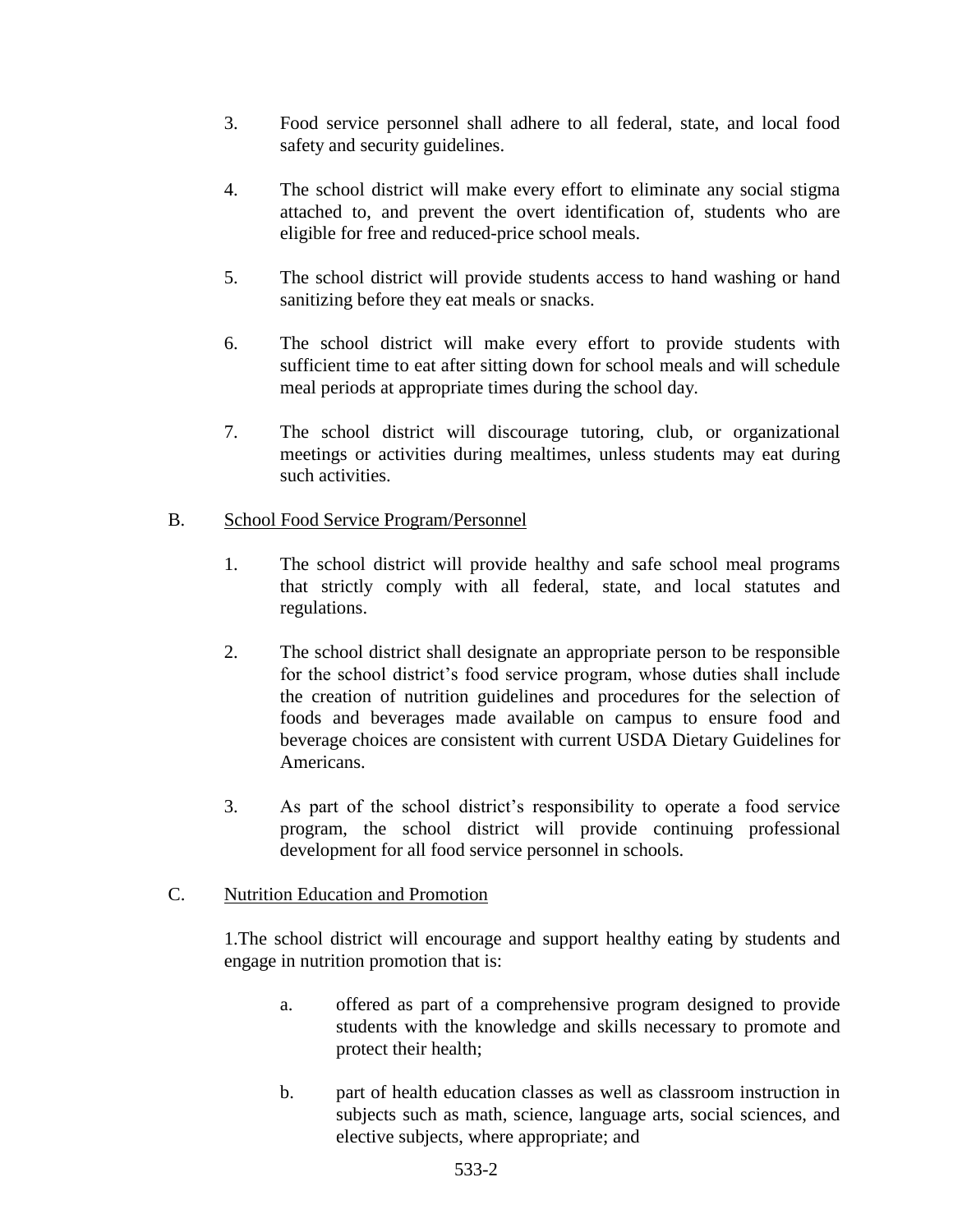- 3. Food service personnel shall adhere to all federal, state, and local food safety and security guidelines.
- 4. The school district will make every effort to eliminate any social stigma attached to, and prevent the overt identification of, students who are eligible for free and reduced-price school meals.
- 5. The school district will provide students access to hand washing or hand sanitizing before they eat meals or snacks.
- 6. The school district will make every effort to provide students with sufficient time to eat after sitting down for school meals and will schedule meal periods at appropriate times during the school day.
- 7. The school district will discourage tutoring, club, or organizational meetings or activities during mealtimes, unless students may eat during such activities.

# B. School Food Service Program/Personnel

- 1. The school district will provide healthy and safe school meal programs that strictly comply with all federal, state, and local statutes and regulations.
- 2. The school district shall designate an appropriate person to be responsible for the school district's food service program, whose duties shall include the creation of nutrition guidelines and procedures for the selection of foods and beverages made available on campus to ensure food and beverage choices are consistent with current USDA Dietary Guidelines for Americans.
- 3. As part of the school district's responsibility to operate a food service program, the school district will provide continuing professional development for all food service personnel in schools.

# C. Nutrition Education and Promotion

1.The school district will encourage and support healthy eating by students and engage in nutrition promotion that is:

- a. offered as part of a comprehensive program designed to provide students with the knowledge and skills necessary to promote and protect their health;
- b. part of health education classes as well as classroom instruction in subjects such as math, science, language arts, social sciences, and elective subjects, where appropriate; and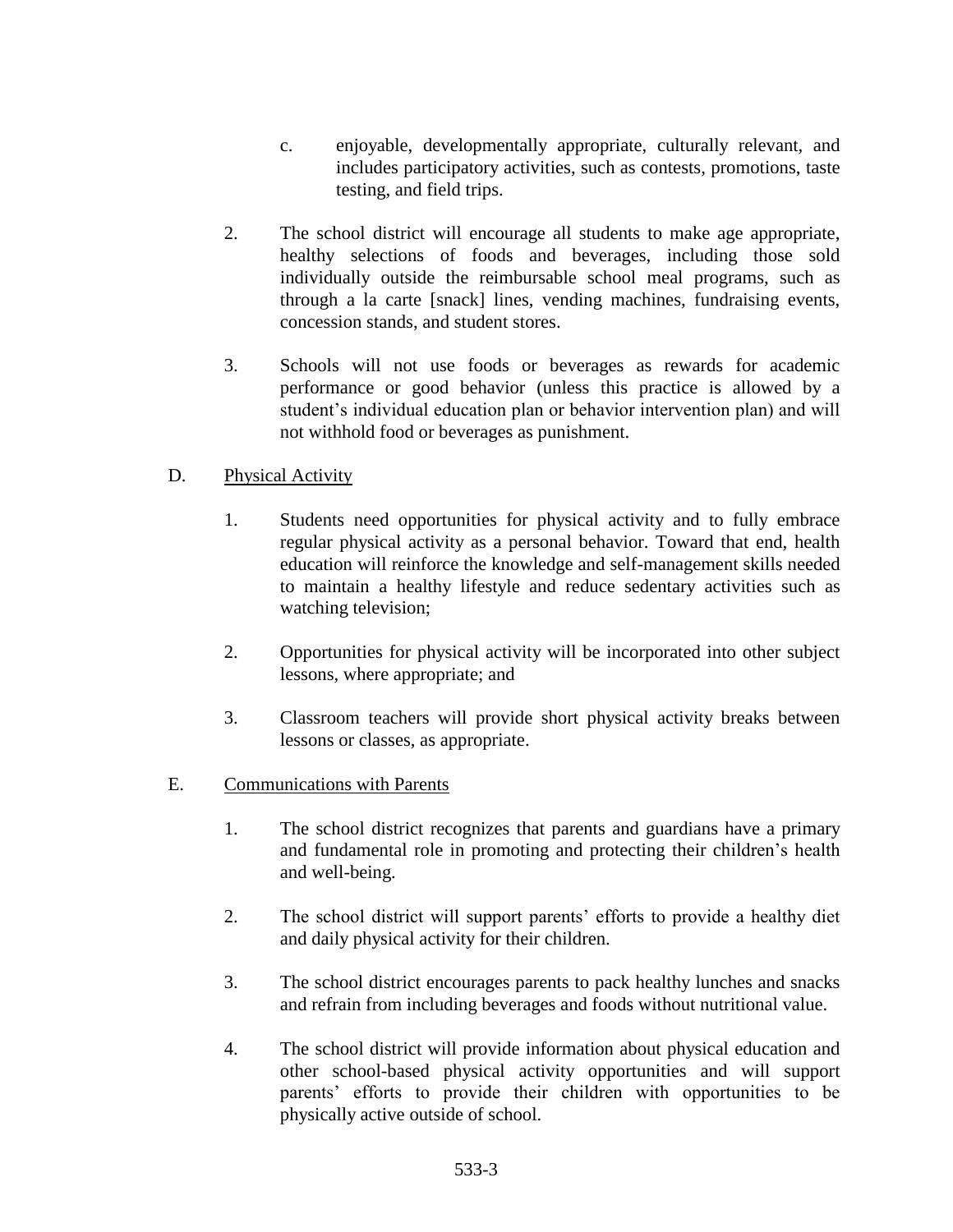- c. enjoyable, developmentally appropriate, culturally relevant, and includes participatory activities, such as contests, promotions, taste testing, and field trips.
- 2. The school district will encourage all students to make age appropriate, healthy selections of foods and beverages, including those sold individually outside the reimbursable school meal programs, such as through a la carte [snack] lines, vending machines, fundraising events, concession stands, and student stores.
- 3. Schools will not use foods or beverages as rewards for academic performance or good behavior (unless this practice is allowed by a student's individual education plan or behavior intervention plan) and will not withhold food or beverages as punishment.

# D. Physical Activity

- 1. Students need opportunities for physical activity and to fully embrace regular physical activity as a personal behavior. Toward that end, health education will reinforce the knowledge and self-management skills needed to maintain a healthy lifestyle and reduce sedentary activities such as watching television;
- 2. Opportunities for physical activity will be incorporated into other subject lessons, where appropriate; and
- 3. Classroom teachers will provide short physical activity breaks between lessons or classes, as appropriate.

# E. Communications with Parents

- 1. The school district recognizes that parents and guardians have a primary and fundamental role in promoting and protecting their children's health and well-being.
- 2. The school district will support parents' efforts to provide a healthy diet and daily physical activity for their children.
- 3. The school district encourages parents to pack healthy lunches and snacks and refrain from including beverages and foods without nutritional value.
- 4. The school district will provide information about physical education and other school-based physical activity opportunities and will support parents' efforts to provide their children with opportunities to be physically active outside of school.